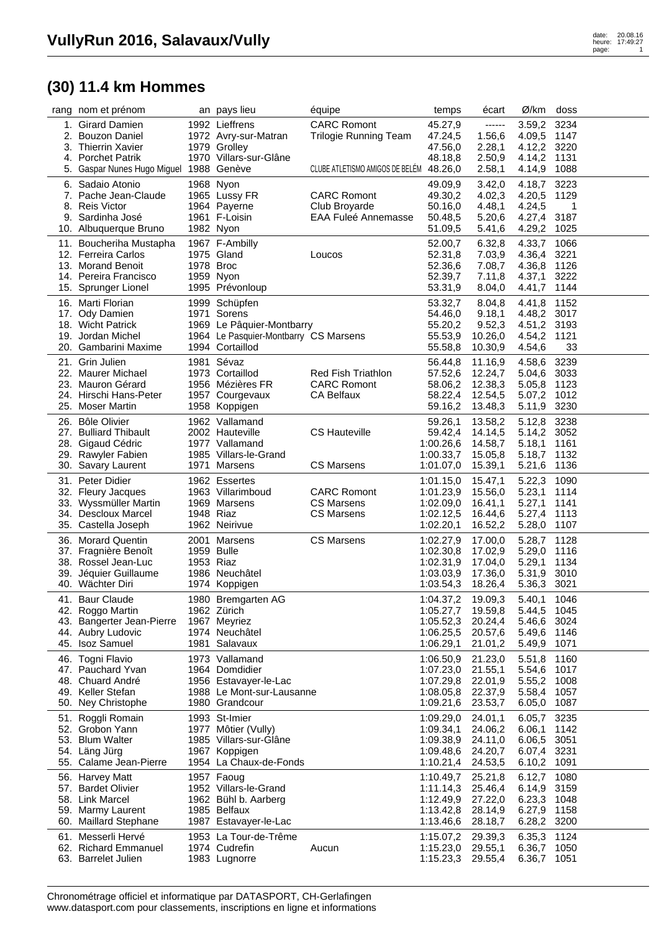## **(30) 11.4 km Hommes**

|     | rang nom et prénom                             |            | an pays lieu                                       | équipe                                      | temps                          | écart              | Ø/km                  | doss         |  |
|-----|------------------------------------------------|------------|----------------------------------------------------|---------------------------------------------|--------------------------------|--------------------|-----------------------|--------------|--|
|     | 1. Girard Damien                               |            | 1992 Lieffrens                                     | <b>CARC Romont</b>                          | 45.27,9                        | ------             | 3.59,2                | 3234         |  |
|     | 2. Bouzon Daniel                               |            | 1972 Avry-sur-Matran                               | <b>Trilogie Running Team</b>                | 47.24,5                        | 1.56,6             | 4.09,5                | 1147         |  |
|     | 3. Thierrin Xavier                             |            | 1979 Grolley                                       |                                             | 47.56,0                        | 2.28,1             | 4.12,2 3220           |              |  |
|     | 4. Porchet Patrik                              |            | 1970 Villars-sur-Glâne                             |                                             | 48.18,8                        | 2.50,9             | 4.14,2                | 1131         |  |
|     | 5. Gaspar Nunes Hugo Miguel 1988 Genève        |            |                                                    | CLUBE ATLETISMO AMIGOS DE BELÉM             | 48.26,0                        | 2.58,1             | 4.14,9                | 1088         |  |
|     | 6. Sadaio Atonio                               | 1968 Nyon  |                                                    |                                             | 49.09,9                        | 3.42,0             | 4.18,7                | 3223         |  |
|     | 7. Pache Jean-Claude                           |            | 1965 Lussy FR                                      | <b>CARC Romont</b>                          | 49.30,2                        | 4.02,3             | 4.20,5                | 1129         |  |
|     | 8. Reis Victor<br>9. Sardinha José             |            | 1964 Payerne<br>1961 F-Loisin                      | Club Broyarde<br><b>EAA Fuleé Annemasse</b> | 50.16,0<br>50.48,5             | 4.48,1<br>5.20,6   | 4.24,5<br>4.27,4      | 1<br>3187    |  |
|     | 10. Albuquerque Bruno                          | 1982 Nyon  |                                                    |                                             | 51.09,5                        | 5.41,6             | 4.29,2                | 1025         |  |
|     |                                                |            |                                                    |                                             |                                |                    |                       | 1066         |  |
|     | 11. Boucheriha Mustapha<br>12. Ferreira Carlos |            | 1967 F-Ambilly<br>1975 Gland                       | Loucos                                      | 52.00,7<br>52.31,8             | 6.32,8<br>7.03,9   | 4.33,7<br>4.36,4      | 3221         |  |
|     | 13. Morand Benoit                              | 1978 Broc  |                                                    |                                             | 52.36,6                        | 7.08,7             | 4.36,8                | 1126         |  |
|     | 14. Pereira Francisco                          |            | 1959 Nyon                                          |                                             | 52.39,7                        | 7.11,8             | 4.37,1                | 3222         |  |
|     | 15. Sprunger Lionel                            |            | 1995 Prévonloup                                    |                                             | 53.31,9                        | 8.04,0             | 4.41,7                | 1144         |  |
|     | 16. Marti Florian                              |            | 1999 Schüpfen                                      |                                             | 53.32,7                        | 8.04,8             | 4.41,8                | 1152         |  |
|     | 17. Ody Damien                                 |            | 1971 Sorens                                        |                                             | 54.46,0                        | 9.18,1             | 4.48,2 3017           |              |  |
|     | 18. Wicht Patrick                              |            | 1969 Le Pâquier-Montbarry                          |                                             | 55.20,2                        | 9.52,3             | 4.51,2 3193           |              |  |
|     | 19. Jordan Michel                              |            | 1964 Le Pasquier-Montbarry CS Marsens              |                                             | 55.53,9                        | 10.26,0            | 4.54,2                | 1121         |  |
|     | 20. Gambarini Maxime                           |            | 1994 Cortaillod                                    |                                             | 55.58,8                        | 10.30,9            | 4.54,6                | 33           |  |
|     | 21. Grin Julien                                |            | 1981 Sévaz                                         |                                             | 56.44,8                        | 11.16,9            | 4.58,6                | 3239         |  |
|     | 22. Maurer Michael                             |            | 1973 Cortaillod                                    | <b>Red Fish Triathlon</b>                   | 57.52,6                        | 12.24,7            | 5.04,6                | 3033         |  |
|     | 23. Mauron Gérard                              |            | 1956 Mézières FR                                   | <b>CARC Romont</b>                          | 58.06,2                        | 12.38,3            | 5.05,8                | 1123         |  |
|     | 24. Hirschi Hans-Peter                         |            | 1957 Courgevaux                                    | <b>CA Belfaux</b>                           | 58.22,4                        | 12.54,5            | 5.07,2                | 1012         |  |
|     | 25. Moser Martin                               |            | 1958 Koppigen                                      |                                             | 59.16,2                        | 13.48,3            | 5.11,9                | 3230         |  |
|     | 26. Bôle Olivier                               |            | 1962 Vallamand                                     |                                             | 59.26,1                        | 13.58,2            | 5.12,8                | 3238         |  |
|     | 27. Bulliard Thibault                          |            | 2002 Hauteville                                    | <b>CS Hauteville</b>                        | 59.42,4                        | 14.14,5            | 5.14,2 3052           |              |  |
|     | 28. Gigaud Cédric                              |            | 1977 Vallamand                                     |                                             | 1:00.26,6                      | 14.58,7            | 5.18,1                | 1161         |  |
|     | 29. Rawyler Fabien<br>30. Savary Laurent       |            | 1985 Villars-le-Grand<br>1971 Marsens              | <b>CS Marsens</b>                           | 1:00.33,7<br>1:01.07,0         | 15.05,8<br>15.39,1 | 5.18,7<br>5.21,6      | 1132<br>1136 |  |
|     |                                                |            |                                                    |                                             |                                |                    |                       |              |  |
|     | 31. Peter Didier<br>32. Fleury Jacques         |            | 1962 Essertes<br>1963 Villarimboud                 | <b>CARC Romont</b>                          | 1:01.15,0                      | 15.47,1<br>15.56,0 | 5.22,3<br>5.23,1      | 1090<br>1114 |  |
|     | 33. Wyssmüller Martin                          |            | 1969 Marsens                                       | <b>CS Marsens</b>                           | 1:01.23,9<br>1:02.09,0         | 16.41,1            | 5.27,1                | 1141         |  |
|     | 34. Descloux Marcel                            | 1948 Riaz  |                                                    | <b>CS Marsens</b>                           | 1:02.12,5                      | 16.44,6            | 5.27,4                | 1113         |  |
|     | 35. Castella Joseph                            |            | 1962 Neirivue                                      |                                             | 1:02.20,1                      | 16.52,2            | 5.28,0                | 1107         |  |
|     | 36. Morard Quentin                             |            | 2001 Marsens                                       | <b>CS Marsens</b>                           | 1:02.27,9                      | 17.00,0            | 5.28,7                | 1128         |  |
|     | 37. Fragnière Benoît                           | 1959 Bulle |                                                    |                                             | 1:02.30,8                      | 17.02,9            | 5.29,0                | 1116         |  |
|     | 38. Rossel Jean-Luc                            | 1953 Riaz  |                                                    |                                             | 1:02.31,9                      | 17.04,0            | 5.29,1                | 1134         |  |
|     | 39. Jéquier Guillaume                          |            | 1986 Neuchâtel                                     |                                             | 1:03.03,9                      | 17.36,0            | 5.31,9                | 3010         |  |
|     | 40. Wächter Diri                               |            | 1974 Koppigen                                      |                                             | 1:03.54,3                      | 18.26,4            | 5.36,3                | 3021         |  |
| 41. | Baur Claude                                    |            | 1980 Bremgarten AG                                 |                                             | 1:04.37,2                      | 19.09,3            | 5.40,1                | 1046         |  |
|     | 42. Roggo Martin                               |            | 1962 Zürich                                        |                                             | 1:05.27,7 19.59,8              |                    | 5.44,5 1045           |              |  |
|     | 43. Bangerter Jean-Pierre                      |            | 1967 Meyriez                                       |                                             | 1:05.52,3                      | 20.24,4            | 5.46,6 3024           |              |  |
|     | 44. Aubry Ludovic                              |            | 1974 Neuchâtel                                     |                                             | 1:06.25,5 20.57,6              |                    | 5.49,6 1146           |              |  |
|     | 45. Isoz Samuel                                |            | 1981 Salavaux                                      |                                             | 1:06.29,1                      | 21.01,2            | 5.49,9                | 1071         |  |
|     | 46. Togni Flavio                               |            | 1973 Vallamand                                     |                                             | 1:06.50,9                      | 21.23,0            | 5.51,8                | 1160         |  |
|     | 47. Pauchard Yvan                              |            | 1964 Domdidier                                     |                                             | 1:07.23,0                      | 21.55,1            | 5.54,6                | 1017         |  |
|     | 48. Chuard André<br>49. Keller Stefan          |            | 1956 Estavayer-le-Lac<br>1988 Le Mont-sur-Lausanne |                                             | 1:07.29,8<br>1:08.05,8 22.37,9 | 22.01,9            | 5.55,2 1008<br>5.58,4 | 1057         |  |
|     | 50. Ney Christophe                             |            | 1980 Grandcour                                     |                                             | 1:09.21,6 23.53,7              |                    | 6.05,0                | 1087         |  |
|     | 51. Roggli Romain                              |            | 1993 St-Imier                                      |                                             | 1:09.29,0                      | 24.01,1            | 6.05,7                | 3235         |  |
|     | 52. Grobon Yann                                |            | 1977 Môtier (Vully)                                |                                             | 1:09.34,1                      | 24.06,2            | 6.06,1                | 1142         |  |
|     | 53. Blum Walter                                |            | 1985 Villars-sur-Glâne                             |                                             | 1:09.38,9 24.11,0              |                    | 6.06,5                | 3051         |  |
|     | 54. Läng Jürg                                  |            | 1967 Koppigen                                      |                                             | 1:09.48,6 24.20,7              |                    | 6.07,4 3231           |              |  |
|     | 55. Calame Jean-Pierre                         |            | 1954 La Chaux-de-Fonds                             |                                             | 1:10.21,4 24.53,5              |                    | 6.10,2                | 1091         |  |
|     | 56. Harvey Matt                                |            | 1957 Faoug                                         |                                             | 1:10.49,7                      | 25.21,8            | 6.12,7                | 1080         |  |
|     | 57. Bardet Olivier                             |            | 1952 Villars-le-Grand                              |                                             | 1:11.14,3                      | 25.46,4            | 6.14,9                | 3159         |  |
|     | 58. Link Marcel                                |            | 1962 Bühl b. Aarberg                               |                                             | 1:12.49,9 27.22,0              |                    | 6.23,3                | 1048         |  |
|     | 59. Marmy Laurent                              |            | 1985 Belfaux                                       |                                             | 1:13.42,8                      | 28.14,9            | 6.27,9 1158           |              |  |
|     | 60. Maillard Stephane                          |            | 1987 Estavayer-le-Lac                              |                                             | 1:13.46,6 28.18,7              |                    | 6.28,2 3200           |              |  |
|     | 61. Messerli Hervé                             |            | 1953 La Tour-de-Trême                              |                                             | 1:15.07,2                      | 29.39,3            | 6.35,3                | 1124         |  |
|     | 62. Richard Emmanuel                           |            | 1974 Cudrefin                                      | Aucun                                       | 1:15.23,0 29.55,1              |                    | 6.36,7                | 1050         |  |
|     | 63. Barrelet Julien                            |            | 1983 Lugnorre                                      |                                             | 1:15.23,3 29.55,4              |                    | 6.36,7 1051           |              |  |

Chronométrage officiel et informatique par DATASPORT, CH-Gerlafingen www.datasport.com pour classements, inscriptions en ligne et informations